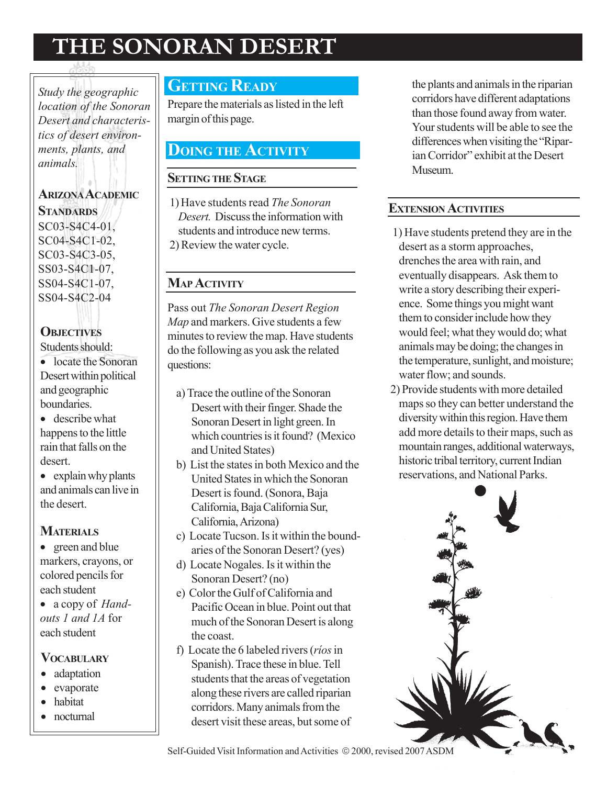# THE SONORAN DESERT

Study the geographic location of the Sonoran Desert and characteristics of desert environments, plants, and animals.

ARIZONA ACADEMIC **STANDARDS** SC03-S4C4-01, SC04-S4C1-02, SC03-S4C3-05, SS03-S4C1-07, SS04-S4C1-07, SS04-S4C2-04

#### **OBJECTIVES**

Students should:

- locate the Sonoran Desert within political and geographic boundaries.
- describe what happens to the little rain that falls on the desert.
- explain why plants and animals can live in the desert.

#### **MATERIALS**

- green and blue markers, crayons, or colored pencils for each student
- a copy of *Hand*outs 1 and 1A for each student

### **VOCABULARY**

- adaptation
- evaporate
- habitat
- nocturnal

## **GETTING READY**

Prepare the materials as listed in the left margin of this page.

## DOING THE ACTIVITY

#### **SETTING THE STAGE**

1)Have students read The Sonoran Desert. Discuss the information with students and introduce new terms. 2) Review the water cycle.

#### **MAP ACTIVITY**

Pass out The Sonoran Desert Region Map and markers. Give students a few minutes to review the map. Have students do the following as you ask the related questions:

- a) Trace the outline of the Sonoran Desert with their finger. Shade the Sonoran Desert in light green. In which countries is it found? (Mexico and United States)
- b) List the states in both Mexico and the United States in which the Sonoran Desert is found. (Sonora, Baja California, Baja California Sur, California, Arizona)
- c) Locate Tucson. Is it within the boundaries of the Sonoran Desert? (yes)
- d) Locate Nogales. Is it within the Sonoran Desert? (no)
- e) Color the Gulf of California and Pacific Ocean in blue. Point out that much of the Sonoran Desert is along the coast.
- f) Locate the 6 labeled rivers (ríos in Spanish). Trace these in blue. Tell students that the areas of vegetation along these rivers are called riparian corridors. Many animals from the desert visit these areas, but some of

the plants and animals in the riparian corridors have different adaptations than those found away from water. Your students will be able to see the differences when visiting the "Riparian Corridor" exhibit at the Desert Museum.

#### EXTENSION ACTIVITIES

- 1) Have students pretend they are in the desert as a storm approaches, drenches the area with rain, and eventually disappears. Ask them to write a story describing their experience. Some things you might want them to consider include how they would feel; what they would do; what animals may be doing; the changes in the temperature, sunlight, and moisture; water flow; and sounds.
- 2) Provide students with more detailed maps so they can better understand the diversity within this region. Have them add more details to their maps, such as mountain ranges, additional waterways, historic tribal territory, current Indian reservations, and National Parks.



Self-Guided Visit Information and Activities © 2000, revised 2007 ASDM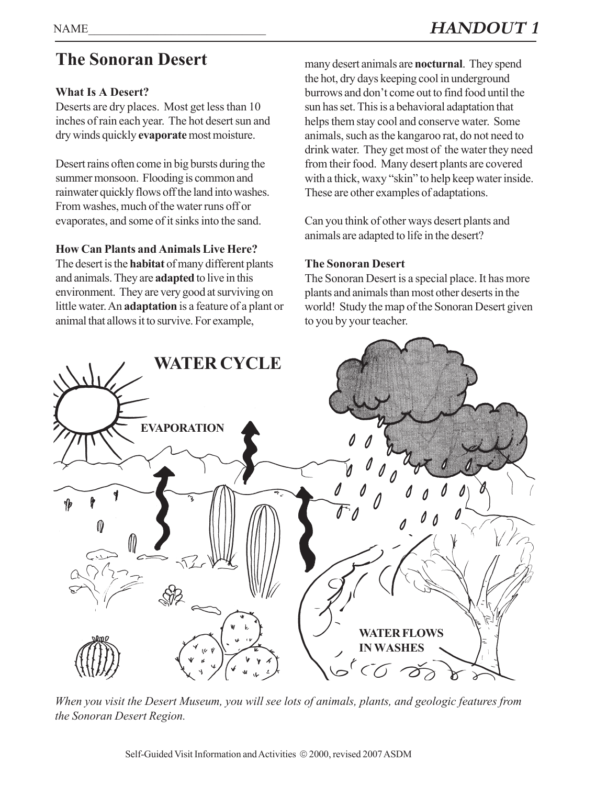# The Sonoran Desert

#### What Is A Desert?

Deserts are dry places. Most get less than 10 inches of rain each year. The hot desert sun and dry winds quickly evaporate most moisture.

Desert rains often come in big bursts during the summer monsoon. Flooding is common and rainwater quickly flows off the land into washes. From washes, much of the water runs off or evaporates, and some of it sinks into the sand.

#### How Can Plants and Animals Live Here?

The desert is the **habitat** of many different plants and animals. They are adapted to live in this environment. They are very good at surviving on little water. An adaptation is a feature of a plant or animal that allows it to survive. For example,

many desert animals are nocturnal. They spend the hot, dry days keeping cool in underground burrows and don't come out to find food until the sun has set. This is a behavioral adaptation that helps them stay cool and conserve water. Some animals, such as the kangaroo rat, do not need to drink water. They get most of the water they need from their food. Many desert plants are covered with a thick, waxy "skin" to help keep water inside. These are other examples of adaptations.

Can you think of other ways desert plants and animals are adapted to life in the desert?

#### The Sonoran Desert

The Sonoran Desert is a special place. It has more plants and animals than most other deserts in the world! Study the map of the Sonoran Desert given to you by your teacher.



When you visit the Desert Museum, you will see lots of animals, plants, and geologic features from the Sonoran Desert Region.